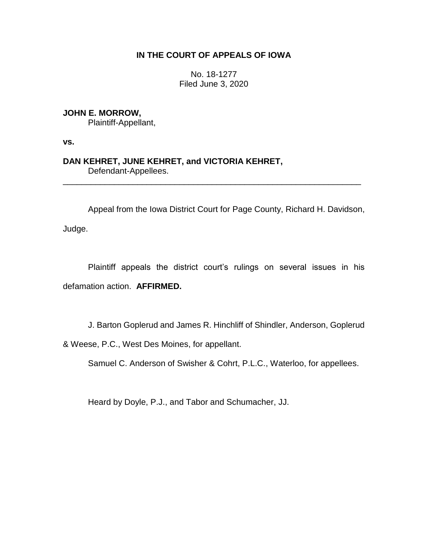## **IN THE COURT OF APPEALS OF IOWA**

No. 18-1277 Filed June 3, 2020

**JOHN E. MORROW,** Plaintiff-Appellant,

**vs.**

**DAN KEHRET, JUNE KEHRET, and VICTORIA KEHRET,** Defendant-Appellees.

Appeal from the Iowa District Court for Page County, Richard H. Davidson,

\_\_\_\_\_\_\_\_\_\_\_\_\_\_\_\_\_\_\_\_\_\_\_\_\_\_\_\_\_\_\_\_\_\_\_\_\_\_\_\_\_\_\_\_\_\_\_\_\_\_\_\_\_\_\_\_\_\_\_\_\_\_\_\_

Judge.

Plaintiff appeals the district court's rulings on several issues in his defamation action. **AFFIRMED.**

J. Barton Goplerud and James R. Hinchliff of Shindler, Anderson, Goplerud

& Weese, P.C., West Des Moines, for appellant.

Samuel C. Anderson of Swisher & Cohrt, P.L.C., Waterloo, for appellees.

Heard by Doyle, P.J., and Tabor and Schumacher, JJ.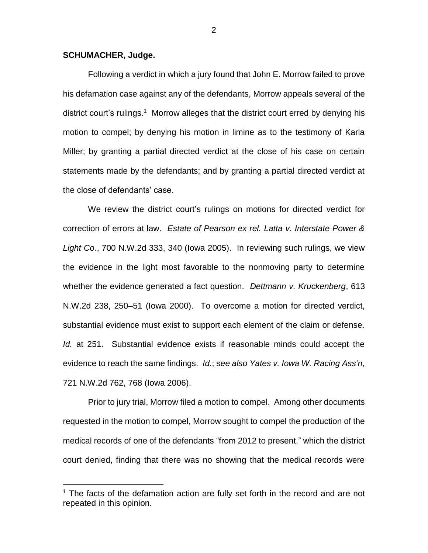## **SCHUMACHER, Judge.**

 $\overline{a}$ 

Following a verdict in which a jury found that John E. Morrow failed to prove his defamation case against any of the defendants, Morrow appeals several of the district court's rulings.<sup>1</sup> Morrow alleges that the district court erred by denying his motion to compel; by denying his motion in limine as to the testimony of Karla Miller; by granting a partial directed verdict at the close of his case on certain statements made by the defendants; and by granting a partial directed verdict at the close of defendants' case.

We review the district court's rulings on motions for directed verdict for correction of errors at law. *Estate of Pearson ex rel. Latta v. Interstate Power & Light Co.*, 700 N.W.2d 333, 340 (Iowa 2005). In reviewing such rulings, we view the evidence in the light most favorable to the nonmoving party to determine whether the evidence generated a fact question. *Dettmann v. Kruckenberg*, 613 N.W.2d 238, 250–51 (Iowa 2000). To overcome a motion for directed verdict, substantial evidence must exist to support each element of the claim or defense. *Id.* at 251. Substantial evidence exists if reasonable minds could accept the evidence to reach the same findings. *Id.*; s*ee also Yates v. Iowa W. Racing Ass'n*, 721 N.W.2d 762, 768 (Iowa 2006).

Prior to jury trial, Morrow filed a motion to compel. Among other documents requested in the motion to compel, Morrow sought to compel the production of the medical records of one of the defendants "from 2012 to present," which the district court denied, finding that there was no showing that the medical records were

 $1$  The facts of the defamation action are fully set forth in the record and are not repeated in this opinion.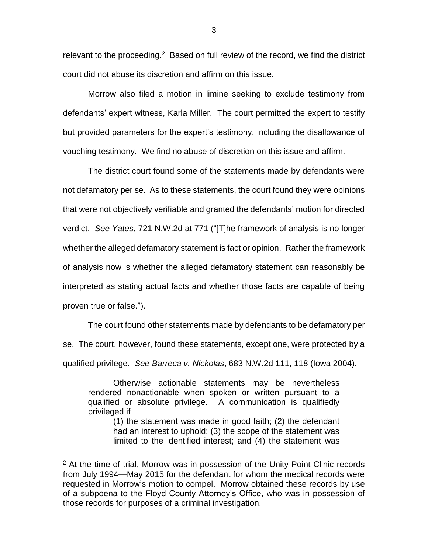relevant to the proceeding. $2$  Based on full review of the record, we find the district court did not abuse its discretion and affirm on this issue.

Morrow also filed a motion in limine seeking to exclude testimony from defendants' expert witness, Karla Miller. The court permitted the expert to testify but provided parameters for the expert's testimony, including the disallowance of vouching testimony. We find no abuse of discretion on this issue and affirm.

The district court found some of the statements made by defendants were not defamatory per se. As to these statements, the court found they were opinions that were not objectively verifiable and granted the defendants' motion for directed verdict. *See Yates*, 721 N.W.2d at 771 ("[T]he framework of analysis is no longer whether the alleged defamatory statement is fact or opinion. Rather the framework of analysis now is whether the alleged defamatory statement can reasonably be interpreted as stating actual facts and whether those facts are capable of being proven true or false.").

The court found other statements made by defendants to be defamatory per se. The court, however, found these statements, except one, were protected by a qualified privilege. *See Barreca v. Nickolas*, 683 N.W.2d 111, 118 (Iowa 2004).

Otherwise actionable statements may be nevertheless rendered nonactionable when spoken or written pursuant to a qualified or absolute privilege. A communication is qualifiedly privileged if

(1) the statement was made in good faith; (2) the defendant had an interest to uphold; (3) the scope of the statement was limited to the identified interest; and (4) the statement was

 $\overline{a}$ 

<sup>&</sup>lt;sup>2</sup> At the time of trial, Morrow was in possession of the Unity Point Clinic records from July 1994—May 2015 for the defendant for whom the medical records were requested in Morrow's motion to compel. Morrow obtained these records by use of a subpoena to the Floyd County Attorney's Office, who was in possession of those records for purposes of a criminal investigation.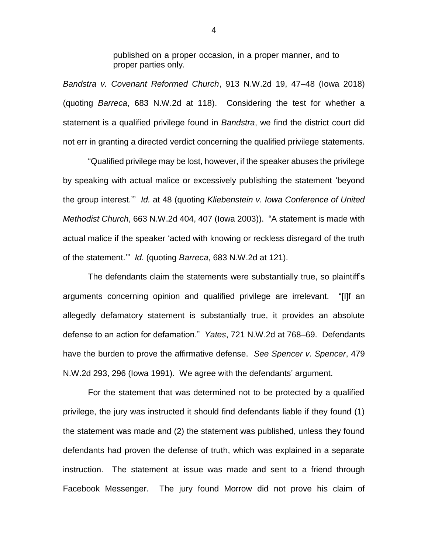published on a proper occasion, in a proper manner, and to proper parties only.

*Bandstra v. Covenant Reformed Church*, 913 N.W.2d 19, 47–48 (Iowa 2018) (quoting *Barreca*, 683 N.W.2d at 118). Considering the test for whether a statement is a qualified privilege found in *Bandstra*, we find the district court did not err in granting a directed verdict concerning the qualified privilege statements.

"Qualified privilege may be lost, however, if the speaker abuses the privilege by speaking with actual malice or excessively publishing the statement 'beyond the group interest.'" *Id.* at 48 (quoting *Kliebenstein v. Iowa Conference of United Methodist Church*, 663 N.W.2d 404, 407 (Iowa 2003)). "A statement is made with actual malice if the speaker 'acted with knowing or reckless disregard of the truth of the statement.'" *Id.* (quoting *Barreca*, 683 N.W.2d at 121).

The defendants claim the statements were substantially true, so plaintiff's arguments concerning opinion and qualified privilege are irrelevant. "[I]f an allegedly defamatory statement is substantially true, it provides an absolute defense to an action for defamation." *Yates*, 721 N.W.2d at 768–69. Defendants have the burden to prove the affirmative defense. *See Spencer v. Spencer*, 479 N.W.2d 293, 296 (Iowa 1991). We agree with the defendants' argument.

For the statement that was determined not to be protected by a qualified privilege, the jury was instructed it should find defendants liable if they found (1) the statement was made and (2) the statement was published, unless they found defendants had proven the defense of truth, which was explained in a separate instruction. The statement at issue was made and sent to a friend through Facebook Messenger. The jury found Morrow did not prove his claim of

4